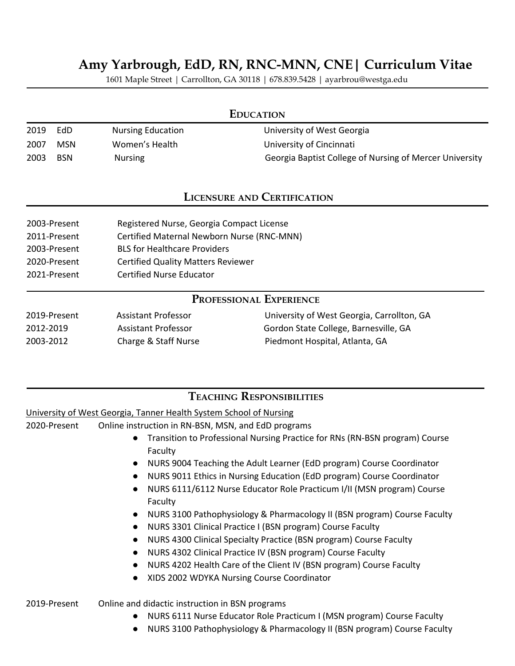# **Amy Yarbrough, EdD, RN, RNC-MNN, CNE| Curriculum Vitae**

1601 Maple Street | Carrollton, GA 30118 | 678.839.5428 | ayarbrou@westga.edu

| <b>EDUCATION</b>                   |            |                          |                                                         |  |
|------------------------------------|------------|--------------------------|---------------------------------------------------------|--|
| 2019                               | EdD.       | <b>Nursing Education</b> | University of West Georgia                              |  |
| 2007                               | <b>MSN</b> | Women's Health           | University of Cincinnati                                |  |
| 2003                               | <b>BSN</b> | <b>Nursing</b>           | Georgia Baptist College of Nursing of Mercer University |  |
| <b>LICENSURE AND CERTIFICATION</b> |            |                          |                                                         |  |

| 2003-Present | Registered Nurse, Georgia Compact License  |
|--------------|--------------------------------------------|
| 2011-Present | Certified Maternal Newborn Nurse (RNC-MNN) |
| 2003-Present | <b>BLS for Healthcare Providers</b>        |
| 2020-Present | <b>Certified Quality Matters Reviewer</b>  |
| 2021-Present | Certified Nurse Educator                   |

# **PROFESSIONAL EXPERIENCE**

| 2019-Present | Assistant Professor  | University of West Georgia, Carrollton, GA |
|--------------|----------------------|--------------------------------------------|
| 2012-2019    | Assistant Professor  | Gordon State College, Barnesville, GA      |
| 2003-2012    | Charge & Staff Nurse | Piedmont Hospital, Atlanta, GA             |

# **TEACHING RESPONSIBILITIES**

University of West Georgia, Tanner Health System School of Nursing

2020-Present Online instruction in RN-BSN, MSN, and EdD programs

- Transition to Professional Nursing Practice for RNs (RN-BSN program) Course Faculty
- NURS 9004 Teaching the Adult Learner (EdD program) Course Coordinator
- NURS 9011 Ethics in Nursing Education (EdD program) Course Coordinator
- NURS 6111/6112 Nurse Educator Role Practicum I/II (MSN program) Course Faculty
- NURS 3100 Pathophysiology & Pharmacology II (BSN program) Course Faculty
- NURS 3301 Clinical Practice I (BSN program) Course Faculty
- NURS 4300 Clinical Specialty Practice (BSN program) Course Faculty
- NURS 4302 Clinical Practice IV (BSN program) Course Faculty
- NURS 4202 Health Care of the Client IV (BSN program) Course Faculty
- XIDS 2002 WDYKA Nursing Course Coordinator

2019-Present Online and didactic instruction in BSN programs

- NURS 6111 Nurse Educator Role Practicum I (MSN program) Course Faculty
- NURS 3100 Pathophysiology & Pharmacology II (BSN program) Course Faculty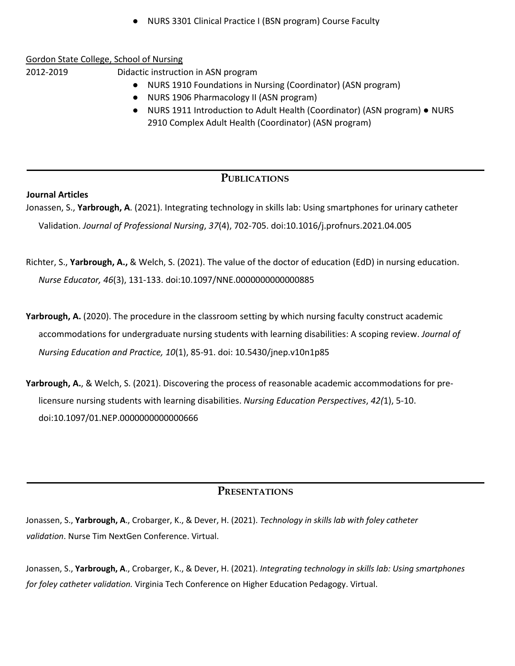NURS 3301 Clinical Practice I (BSN program) Course Faculty

#### Gordon State College, School of Nursing

2012-2019 Didactic instruction in ASN program

- NURS 1910 Foundations in Nursing (Coordinator) (ASN program)
- NURS 1906 Pharmacology II (ASN program)
- NURS 1911 Introduction to Adult Health (Coordinator) (ASN program) NURS 2910 Complex Adult Health (Coordinator) (ASN program)

### **PUBLICATIONS**

#### **Journal Articles**

Jonassen, S., **Yarbrough, A**. (2021). Integrating technology in skills lab: Using smartphones for urinary catheter Validation. *Journal of Professional Nursing*, *37*(4), 702-705. doi:10.1016/j.profnurs.2021.04.005

- Richter, S., **Yarbrough, A.,** & Welch, S. (2021). The value of the doctor of education (EdD) in nursing education. *Nurse Educator, 46*(3), 131-133. doi:10.1097/NNE.0000000000000885
- Yarbrough, A. (2020). The procedure in the classroom setting by which nursing faculty construct academic accommodations for undergraduate nursing students with learning disabilities: A scoping review. *Journal of Nursing Education and Practice, 10*(1), 85-91. doi: 10.5430/jnep.v10n1p85
- **Yarbrough, A.**, & Welch, S. (2021). Discovering the process of reasonable academic accommodations for prelicensure nursing students with learning disabilities. *Nursing Education Perspectives*, *42(*1), 5-10. doi:10.1097/01.NEP.0000000000000666

#### **PRESENTATIONS**

Jonassen, S., **Yarbrough, A**., Crobarger, K., & Dever, H. (2021). *Technology in skills lab with foley catheter validation*. Nurse Tim NextGen Conference. Virtual.

Jonassen, S., **Yarbrough, A**., Crobarger, K., & Dever, H. (2021). *Integrating technology in skills lab: Using smartphones for foley catheter validation.* Virginia Tech Conference on Higher Education Pedagogy. Virtual.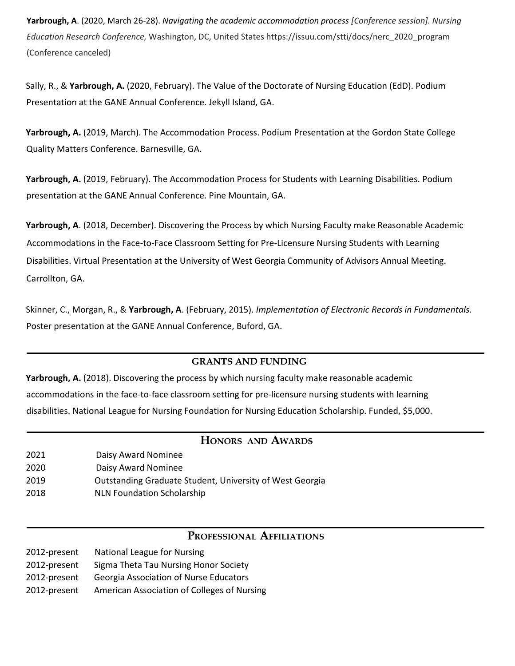**Yarbrough, A**. (2020, March 26-28). *Navigating the academic accommodation process [Conference session]. Nursing Education Research Conference,* Washington, DC, United States https://issuu.com/stti/docs/nerc\_2020\_program (Conference canceled)

Sally, R., & **Yarbrough, A.** (2020, February). The Value of the Doctorate of Nursing Education (EdD). Podium Presentation at the GANE Annual Conference. Jekyll Island, GA.

**Yarbrough, A.** (2019, March). The Accommodation Process. Podium Presentation at the Gordon State College Quality Matters Conference. Barnesville, GA.

**Yarbrough, A.** (2019, February). The Accommodation Process for Students with Learning Disabilities. Podium presentation at the GANE Annual Conference. Pine Mountain, GA.

**Yarbrough, A**. (2018, December). Discovering the Process by which Nursing Faculty make Reasonable Academic Accommodations in the Face-to-Face Classroom Setting for Pre-Licensure Nursing Students with Learning Disabilities. Virtual Presentation at the University of West Georgia Community of Advisors Annual Meeting. Carrollton, GA.

Skinner, C., Morgan, R., & **Yarbrough, A**. (February, 2015). *Implementation of Electronic Records in Fundamentals.* Poster presentation at the GANE Annual Conference, Buford, GA.

#### **GRANTS AND FUNDING**

Yarbrough, A. (2018). Discovering the process by which nursing faculty make reasonable academic accommodations in the face-to-face classroom setting for pre-licensure nursing students with learning disabilities. National League for Nursing Foundation for Nursing Education Scholarship. Funded, \$5,000.

### **HONORS AND AWARDS**

| 2021 | Daisy Award Nominee                                      |
|------|----------------------------------------------------------|
| 2020 | Daisy Award Nominee                                      |
| 2019 | Outstanding Graduate Student, University of West Georgia |
| 2018 | <b>NLN Foundation Scholarship</b>                        |

### **PROFESSIONAL AFFILIATIONS**

| 2012-present | National League for Nursing                   |
|--------------|-----------------------------------------------|
| 2012-present | Sigma Theta Tau Nursing Honor Society         |
| 2012-present | <b>Georgia Association of Nurse Educators</b> |
| 2012-present | American Association of Colleges of Nursing   |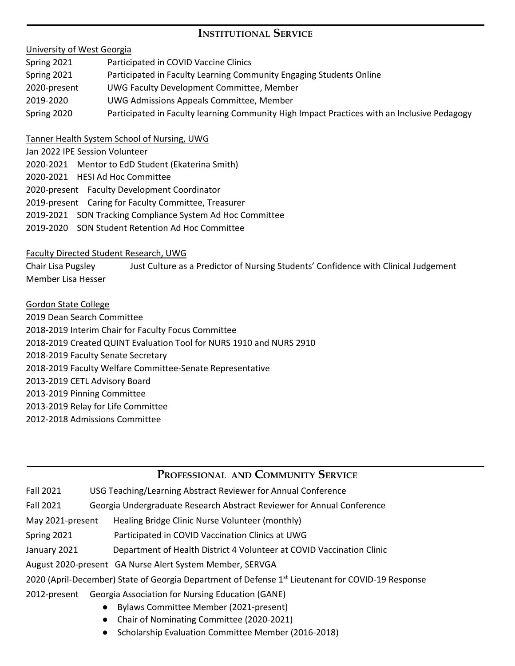# **INSTITUTIONAL SERVICE**

#### University of West Georgia

| Spring 2021  | Participated in COVID Vaccine Clinics                                                       |
|--------------|---------------------------------------------------------------------------------------------|
| Spring 2021  | Participated in Faculty Learning Community Engaging Students Online                         |
| 2020-present | UWG Faculty Development Committee, Member                                                   |
| 2019-2020    | UWG Admissions Appeals Committee, Member                                                    |
| Spring 2020  | Participated in Faculty learning Community High Impact Practices with an Inclusive Pedagogy |

#### Tanner Health System School of Nursing, UWG

- Jan 2022 IPE Session Volunteer
- 2020-2021 Mentor to EdD Student (Ekaterina Smith)
- 2020-2021 HESI Ad Hoc Committee
- 2020-present Faculty Development Coordinator
- 2019-present Caring for Faculty Committee, Treasurer
- 2019-2021 SON Tracking Compliance System Ad Hoc Committee
- 2019-2020 SON Student Retention Ad Hoc Committee

#### Faculty Directed Student Research, UWG

Chair Lisa Pugsley Just Culture as a Predictor of Nursing Students' Confidence with Clinical Judgement Member Lisa Hesser

- Gordon State College
- 2019 Dean Search Committee 2018-2019 Interim Chair for Faculty Focus Committee 2018-2019 Created QUINT Evaluation Tool for NURS 1910 and NURS 2910 2018-2019 Faculty Senate Secretary 2018-2019 Faculty Welfare Committee-Senate Representative 2013-2019 CETL Advisory Board 2013-2019 Pinning Committee 2013-2019 Relay for Life Committee 2012-2018 Admissions Committee

### **PROFESSIONAL AND COMMUNITY SERVICE**

- Fall 2021 USG Teaching/Learning Abstract Reviewer for Annual Conference
- Fall 2021 Georgia Undergraduate Research Abstract Reviewer for Annual Conference
- May 2021-present Healing Bridge Clinic Nurse Volunteer (monthly)
- Spring 2021 Participated in COVID Vaccination Clinics at UWG
- January 2021 Department of Health District 4 Volunteer at COVID Vaccination Clinic
- August 2020-present GA Nurse Alert System Member, SERVGA
- 2020 (April-December) State of Georgia Department of Defense 1<sup>st</sup> Lieutenant for COVID-19 Response
- 2012-present Georgia Association for Nursing Education (GANE)
	- Bylaws Committee Member (2021-present)
	- Chair of Nominating Committee (2020-2021)
	- Scholarship Evaluation Committee Member (2016-2018)